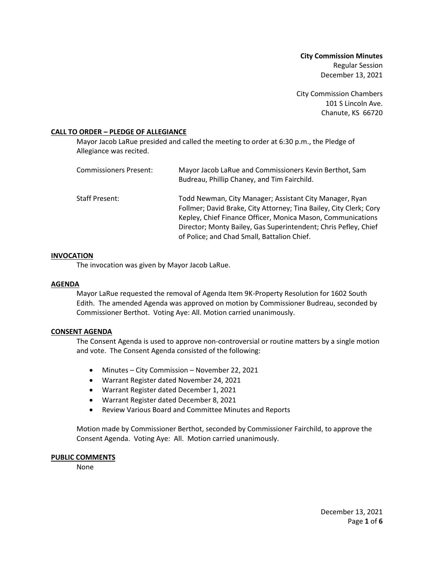**City Commission Minutes** Regular Session December 13, 2021

City Commission Chambers 101 S Lincoln Ave. Chanute, KS 66720

## **CALL TO ORDER – PLEDGE OF ALLEGIANCE**

Mayor Jacob LaRue presided and called the meeting to order at 6:30 p.m., the Pledge of Allegiance was recited.

| Commissioners Present: | Mayor Jacob LaRue and Commissioners Kevin Berthot, Sam<br>Budreau, Phillip Chaney, and Tim Fairchild.                                                                                                                                                                                                          |
|------------------------|----------------------------------------------------------------------------------------------------------------------------------------------------------------------------------------------------------------------------------------------------------------------------------------------------------------|
| Staff Present:         | Todd Newman, City Manager; Assistant City Manager, Ryan<br>Follmer; David Brake, City Attorney; Tina Bailey, City Clerk; Cory<br>Kepley, Chief Finance Officer, Monica Mason, Communications<br>Director; Monty Bailey, Gas Superintendent; Chris Pefley, Chief<br>of Police; and Chad Small, Battalion Chief. |

### **INVOCATION**

The invocation was given by Mayor Jacob LaRue.

#### **AGENDA**

Mayor LaRue requested the removal of Agenda Item 9K-Property Resolution for 1602 South Edith. The amended Agenda was approved on motion by Commissioner Budreau, seconded by Commissioner Berthot. Voting Aye: All. Motion carried unanimously.

#### **CONSENT AGENDA**

The Consent Agenda is used to approve non-controversial or routine matters by a single motion and vote. The Consent Agenda consisted of the following:

- Minutes City Commission November 22, 2021
- Warrant Register dated November 24, 2021
- Warrant Register dated December 1, 2021
- Warrant Register dated December 8, 2021
- Review Various Board and Committee Minutes and Reports

Motion made by Commissioner Berthot, seconded by Commissioner Fairchild, to approve the Consent Agenda. Voting Aye: All. Motion carried unanimously.

### **PUBLIC COMMENTS**

None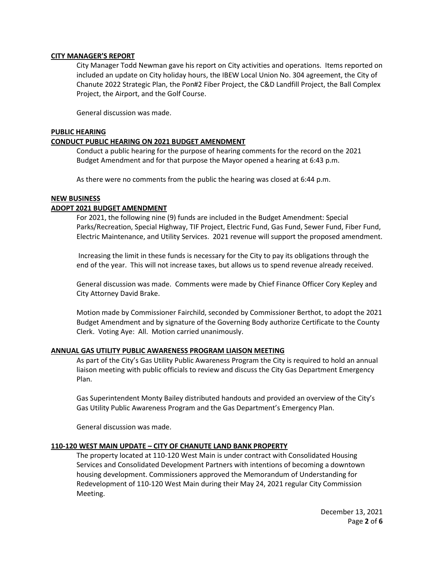## **CITY MANAGER'S REPORT**

City Manager Todd Newman gave his report on City activities and operations. Items reported on included an update on City holiday hours, the IBEW Local Union No. 304 agreement, the City of Chanute 2022 Strategic Plan, the Pon#2 Fiber Project, the C&D Landfill Project, the Ball Complex Project, the Airport, and the Golf Course.

General discussion was made.

## **PUBLIC HEARING**

# **CONDUCT PUBLIC HEARING ON 2021 BUDGET AMENDMENT**

Conduct a public hearing for the purpose of hearing comments for the record on the 2021 Budget Amendment and for that purpose the Mayor opened a hearing at 6:43 p.m.

As there were no comments from the public the hearing was closed at 6:44 p.m.

# **NEW BUSINESS**

# **ADOPT 2021 BUDGET AMENDMENT**

For 2021, the following nine (9) funds are included in the Budget Amendment: Special Parks/Recreation, Special Highway, TIF Project, Electric Fund, Gas Fund, Sewer Fund, Fiber Fund, Electric Maintenance, and Utility Services. 2021 revenue will support the proposed amendment.

Increasing the limit in these funds is necessary for the City to pay its obligations through the end of the year. This will not increase taxes, but allows us to spend revenue already received.

General discussion was made. Comments were made by Chief Finance Officer Cory Kepley and City Attorney David Brake.

Motion made by Commissioner Fairchild, seconded by Commissioner Berthot, to adopt the 2021 Budget Amendment and by signature of the Governing Body authorize Certificate to the County Clerk. Voting Aye: All. Motion carried unanimously.

### **ANNUAL GAS UTILITY PUBLIC AWARENESS PROGRAM LIAISON MEETING**

As part of the City's Gas Utility Public Awareness Program the City is required to hold an annual liaison meeting with public officials to review and discuss the City Gas Department Emergency Plan.

Gas Superintendent Monty Bailey distributed handouts and provided an overview of the City's Gas Utility Public Awareness Program and the Gas Department's Emergency Plan.

General discussion was made.

### **110-120 WEST MAIN UPDATE – CITY OF CHANUTE LAND BANK PROPERTY**

The property located at 110-120 West Main is under contract with Consolidated Housing Services and Consolidated Development Partners with intentions of becoming a downtown housing development. Commissioners approved the Memorandum of Understanding for Redevelopment of 110-120 West Main during their May 24, 2021 regular City Commission Meeting.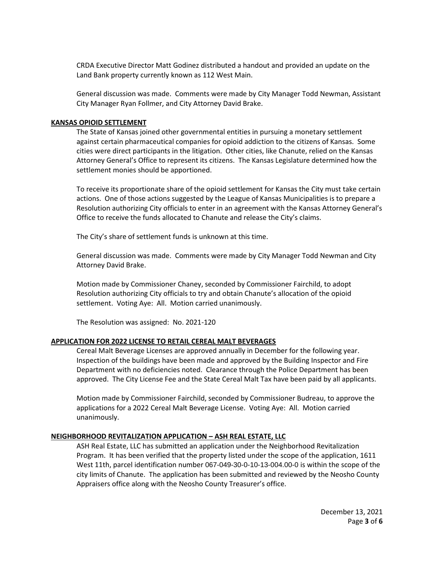CRDA Executive Director Matt Godinez distributed a handout and provided an update on the Land Bank property currently known as 112 West Main.

General discussion was made. Comments were made by City Manager Todd Newman, Assistant City Manager Ryan Follmer, and City Attorney David Brake.

### **KANSAS OPIOID SETTLEMENT**

The State of Kansas joined other governmental entities in pursuing a monetary settlement against certain pharmaceutical companies for opioid addiction to the citizens of Kansas. Some cities were direct participants in the litigation. Other cities, like Chanute, relied on the Kansas Attorney General's Office to represent its citizens. The Kansas Legislature determined how the settlement monies should be apportioned.

To receive its proportionate share of the opioid settlement for Kansas the City must take certain actions. One of those actions suggested by the League of Kansas Municipalities is to prepare a Resolution authorizing City officials to enter in an agreement with the Kansas Attorney General's Office to receive the funds allocated to Chanute and release the City's claims.

The City's share of settlement funds is unknown at this time.

General discussion was made. Comments were made by City Manager Todd Newman and City Attorney David Brake.

Motion made by Commissioner Chaney, seconded by Commissioner Fairchild, to adopt Resolution authorizing City officials to try and obtain Chanute's allocation of the opioid settlement. Voting Aye: All. Motion carried unanimously.

The Resolution was assigned: No. 2021-120

### **APPLICATION FOR 2022 LICENSE TO RETAIL CEREAL MALT BEVERAGES**

Cereal Malt Beverage Licenses are approved annually in December for the following year. Inspection of the buildings have been made and approved by the Building Inspector and Fire Department with no deficiencies noted. Clearance through the Police Department has been approved. The City License Fee and the State Cereal Malt Tax have been paid by all applicants.

Motion made by Commissioner Fairchild, seconded by Commissioner Budreau, to approve the applications for a 2022 Cereal Malt Beverage License. Voting Aye: All. Motion carried unanimously.

# **NEIGHBORHOOD REVITALIZATION APPLICATION – ASH REAL ESTATE, LLC**

ASH Real Estate, LLC has submitted an application under the Neighborhood Revitalization Program. It has been verified that the property listed under the scope of the application, 1611 West 11th, parcel identification number 067-049-30-0-10-13-004.00-0 is within the scope of the city limits of Chanute. The application has been submitted and reviewed by the Neosho County Appraisers office along with the Neosho County Treasurer's office.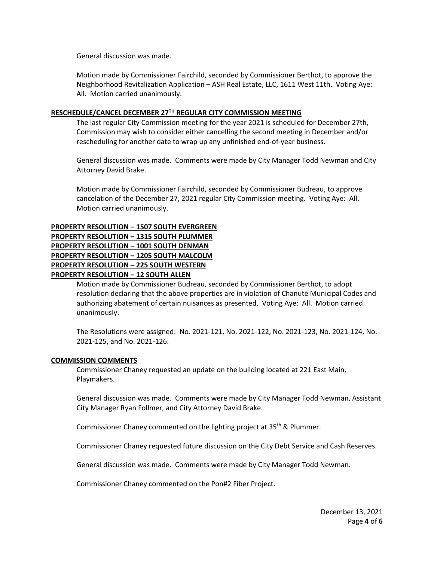General discussion was made.

Motion made by Commissioner Fairchild, seconded by Commissioner Berthot, to approve the Neighborhood Revitalization Application – ASH Real Estate, LLC, 1611 West 11th. Voting Aye: All. Motion carried unanimously.

## **RESCHEDULE/CANCEL DECEMBER 27TH REGULAR CITY COMMISSION MEETING**

The last regular City Commission meeting for the year 2021 is scheduled for December 27th, Commission may wish to consider either cancelling the second meeting in December and/or rescheduling for another date to wrap up any unfinished end-of-year business.

General discussion was made. Comments were made by City Manager Todd Newman and City Attorney David Brake.

Motion made by Commissioner Fairchild, seconded by Commissioner Budreau, to approve cancelation of the December 27, 2021 regular City Commission meeting. Voting Aye: All. Motion carried unanimously.

# **PROPERTY RESOLUTION – 1507 SOUTH EVERGREEN**

**PROPERTY RESOLUTION – 1315 SOUTH PLUMMER PROPERTY RESOLUTION – 1001 SOUTH DENMAN PROPERTY RESOLUTION – 1205 SOUTH MALCOLM PROPERTY RESOLUTION – 225 SOUTH WESTERN PROPERTY RESOLUTION – 12 SOUTH ALLEN**

> Motion made by Commissioner Budreau, seconded by Commissioner Berthot, to adopt resolution declaring that the above properties are in violation of Chanute Municipal Codes and authorizing abatement of certain nuisances as presented. Voting Aye: All. Motion carried unanimously.

> The Resolutions were assigned: No. 2021-121, No. 2021-122, No. 2021-123, No. 2021-124, No. 2021-125, and No. 2021-126.

### **COMMISSION COMMENTS**

Commissioner Chaney requested an update on the building located at 221 East Main, Playmakers.

General discussion was made. Comments were made by City Manager Todd Newman, Assistant City Manager Ryan Follmer, and City Attorney David Brake.

Commissioner Chaney commented on the lighting project at  $35<sup>th</sup>$  & Plummer.

Commissioner Chaney requested future discussion on the City Debt Service and Cash Reserves.

General discussion was made. Comments were made by City Manager Todd Newman.

Commissioner Chaney commented on the Pon#2 Fiber Project.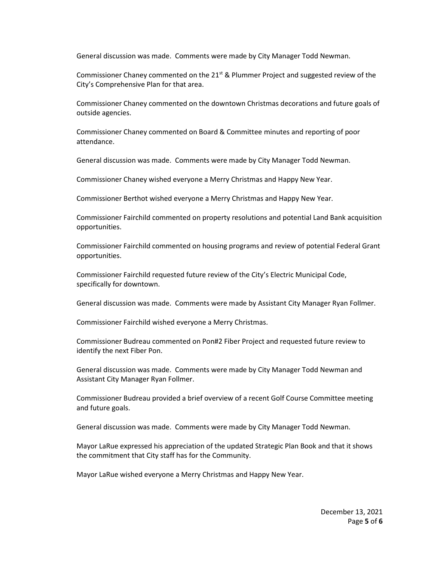General discussion was made. Comments were made by City Manager Todd Newman.

Commissioner Chaney commented on the  $21<sup>st</sup>$  & Plummer Project and suggested review of the City's Comprehensive Plan for that area.

Commissioner Chaney commented on the downtown Christmas decorations and future goals of outside agencies.

Commissioner Chaney commented on Board & Committee minutes and reporting of poor attendance.

General discussion was made. Comments were made by City Manager Todd Newman.

Commissioner Chaney wished everyone a Merry Christmas and Happy New Year.

Commissioner Berthot wished everyone a Merry Christmas and Happy New Year.

Commissioner Fairchild commented on property resolutions and potential Land Bank acquisition opportunities.

Commissioner Fairchild commented on housing programs and review of potential Federal Grant opportunities.

Commissioner Fairchild requested future review of the City's Electric Municipal Code, specifically for downtown.

General discussion was made. Comments were made by Assistant City Manager Ryan Follmer.

Commissioner Fairchild wished everyone a Merry Christmas.

Commissioner Budreau commented on Pon#2 Fiber Project and requested future review to identify the next Fiber Pon.

General discussion was made. Comments were made by City Manager Todd Newman and Assistant City Manager Ryan Follmer.

Commissioner Budreau provided a brief overview of a recent Golf Course Committee meeting and future goals.

General discussion was made. Comments were made by City Manager Todd Newman.

Mayor LaRue expressed his appreciation of the updated Strategic Plan Book and that it shows the commitment that City staff has for the Community.

Mayor LaRue wished everyone a Merry Christmas and Happy New Year.